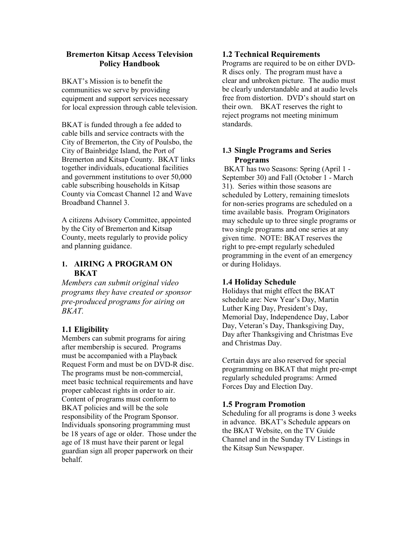### **Bremerton Kitsap Access Television Policy Handbook**

BKAT's Mission is to benefit the communities we serve by providing equipment and support services necessary for local expression through cable television.

BKAT is funded through a fee added to cable bills and service contracts with the City of Bremerton, the City of Poulsbo, the City of Bainbridge Island, the Port of Bremerton and Kitsap County. BKAT links together individuals, educational facilities and government institutions to over 50,000 cable subscribing households in Kitsap County via Comcast Channel 12 and Wave Broadband Channel 3.

A citizens Advisory Committee, appointed by the City of Bremerton and Kitsap County, meets regularly to provide policy and planning guidance.

## **1. AIRING A PROGRAM ON BKAT**

*Members can submit original video programs they have created or sponsor pre-produced programs for airing on BKAT.* 

# **1.1 Eligibility**

Members can submit programs for airing after membership is secured. Programs must be accompanied with a Playback Request Form and must be on DVD-R disc. The programs must be non-commercial, meet basic technical requirements and have proper cablecast rights in order to air. Content of programs must conform to BKAT policies and will be the sole responsibility of the Program Sponsor. Individuals sponsoring programming must be 18 years of age or older. Those under the age of 18 must have their parent or legal guardian sign all proper paperwork on their behalf.

## **1.2 Technical Requirements**

Programs are required to be on either DVD-R discs only. The program must have a clear and unbroken picture. The audio must be clearly understandable and at audio levels free from distortion. DVD's should start on their own. BKAT reserves the right to reject programs not meeting minimum standards.

## **1.3 Single Programs and Series Programs**

 BKAT has two Seasons: Spring (April 1 - September 30) and Fall (October 1 - March 31). Series within those seasons are scheduled by Lottery, remaining timeslots for non-series programs are scheduled on a time available basis. Program Originators may schedule up to three single programs or two single programs and one series at any given time. NOTE: BKAT reserves the right to pre-empt regularly scheduled programming in the event of an emergency or during Holidays.

# **1.4 Holiday Schedule**

Holidays that might effect the BKAT schedule are: New Year's Day, Martin Luther King Day, President's Day, Memorial Day, Independence Day, Labor Day, Veteran's Day, Thanksgiving Day, Day after Thanksgiving and Christmas Eve and Christmas Day.

Certain days are also reserved for special programming on BKAT that might pre-empt regularly scheduled programs: Armed Forces Day and Election Day.

# **1.5 Program Promotion**

Scheduling for all programs is done 3 weeks in advance. BKAT's Schedule appears on the BKAT Website, on the TV Guide Channel and in the Sunday TV Listings in the Kitsap Sun Newspaper.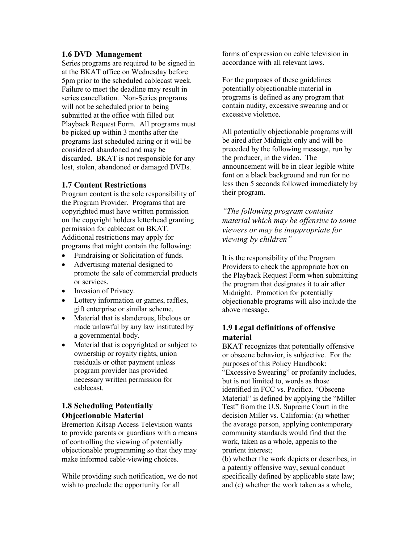#### **1.6 DVD Management**

Series programs are required to be signed in at the BKAT office on Wednesday before 5pm prior to the scheduled cablecast week. Failure to meet the deadline may result in series cancellation. Non-Series programs will not be scheduled prior to being submitted at the office with filled out Playback Request Form. All programs must be picked up within 3 months after the programs last scheduled airing or it will be considered abandoned and may be discarded. BKAT is not responsible for any lost, stolen, abandoned or damaged DVDs.

### **1.7 Content Restrictions**

Program content is the sole responsibility of the Program Provider. Programs that are copyrighted must have written permission on the copyright holders letterhead granting permission for cablecast on BKAT. Additional restrictions may apply for programs that might contain the following:

- Fundraising or Solicitation of funds.
- Advertising material designed to promote the sale of commercial products or services.
- Invasion of Privacy.
- Lottery information or games, raffles, gift enterprise or similar scheme.
- Material that is slanderous, libelous or made unlawful by any law instituted by a governmental body.
- Material that is copyrighted or subject to ownership or royalty rights, union residuals or other payment unless program provider has provided necessary written permission for cablecast.

## **1.8 Scheduling Potentially Objectionable Material**

Bremerton Kitsap Access Television wants to provide parents or guardians with a means of controlling the viewing of potentially objectionable programming so that they may make informed cable-viewing choices.

While providing such notification, we do not wish to preclude the opportunity for all

forms of expression on cable television in accordance with all relevant laws.

For the purposes of these guidelines potentially objectionable material in programs is defined as any program that contain nudity, excessive swearing and or excessive violence.

All potentially objectionable programs will be aired after Midnight only and will be preceded by the following message, run by the producer, in the video. The announcement will be in clear legible white font on a black background and run for no less then 5 seconds followed immediately by their program.

*"The following program contains material which may be offensive to some viewers or may be inappropriate for viewing by children"* 

It is the responsibility of the Program Providers to check the appropriate box on the Playback Request Form when submitting the program that designates it to air after Midnight. Promotion for potentially objectionable programs will also include the above message.

### **1.9 Legal definitions of offensive material**

BKAT recognizes that potentially offensive or obscene behavior, is subjective. For the purposes of this Policy Handbook: "Excessive Swearing" or profanity includes, but is not limited to, words as those identified in FCC vs. Pacifica. "Obscene Material" is defined by applying the "Miller Test" from the U.S. Supreme Court in the decision Miller vs. California: (a) whether the average person, applying contemporary community standards would find that the work, taken as a whole, appeals to the prurient interest;

(b) whether the work depicts or describes, in a patently offensive way, sexual conduct specifically defined by applicable state law; and (c) whether the work taken as a whole,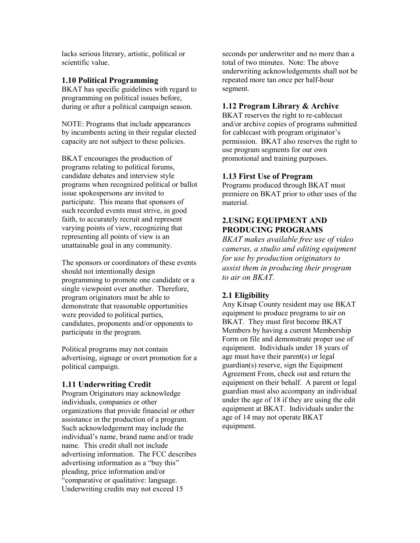lacks serious literary, artistic, political or scientific value.

#### **1.10 Political Programming**

BKAT has specific guidelines with regard to programming on political issues before, during or after a political campaign season.

NOTE: Programs that include appearances by incumbents acting in their regular elected capacity are not subject to these policies.

BKAT encourages the production of programs relating to political forums, candidate debates and interview style programs when recognized political or ballot issue spokespersons are invited to participate. This means that sponsors of such recorded events must strive, in good faith, to accurately recruit and represent varying points of view, recognizing that representing all points of view is an unattainable goal in any community.

The sponsors or coordinators of these events should not intentionally design programming to promote one candidate or a single viewpoint over another. Therefore, program originators must be able to demonstrate that reasonable opportunities were provided to political parties, candidates, proponents and/or opponents to participate in the program.

Political programs may not contain advertising, signage or overt promotion for a political campaign.

### **1.11 Underwriting Credit**

Program Originators may acknowledge individuals, companies or other organizations that provide financial or other assistance in the production of a program. Such acknowledgement may include the individual's name, brand name and/or trade name. This credit shall not include advertising information. The FCC describes advertising information as a "buy this" pleading, price information and/or "comparative or qualitative: language. Underwriting credits may not exceed 15

seconds per underwriter and no more than a total of two minutes. Note: The above underwriting acknowledgements shall not be repeated more tan once per half-hour segment.

### **1.12 Program Library & Archive**

BKAT reserves the right to re-cablecast and/or archive copies of programs submitted for cablecast with program originator's permission. BKAT also reserves the right to use program segments for our own promotional and training purposes.

#### **1.13 First Use of Program**

Programs produced through BKAT must premiere on BKAT prior to other uses of the material.

# **2.USING EQUIPMENT AND PRODUCING PROGRAMS**

*BKAT makes available free use of video cameras, a studio and editing equipment for use by production originators to assist them in producing their program to air on BKAT.* 

### **2.1 Eligibility**

Any Kitsap County resident may use BKAT equipment to produce programs to air on BKAT. They must first become BKAT Members by having a current Membership Form on file and demonstrate proper use of equipment. Individuals under 18 years of age must have their parent(s) or legal guardian(s) reserve, sign the Equipment Agreement From, check out and return the equipment on their behalf. A parent or legal guardian must also accompany an individual under the age of 18 if they are using the edit equipment at BKAT. Individuals under the age of 14 may not operate BKAT equipment.